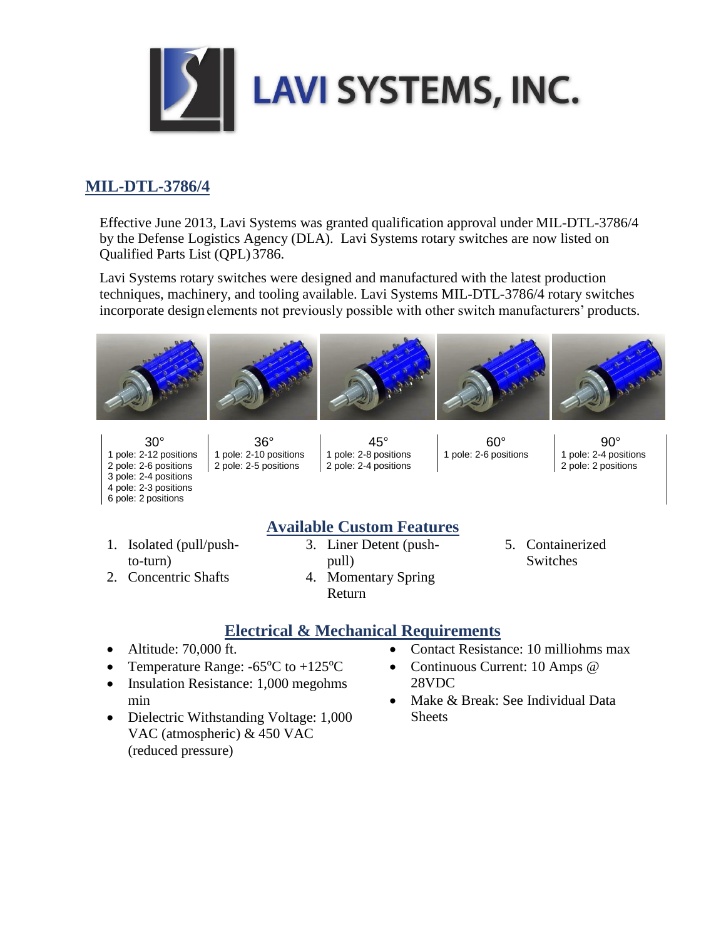

## **MIL-DTL-3786/4**

Effective June 2013, Lavi Systems was granted qualification approval under MIL-DTL-3786/4 by the Defense Logistics Agency (DLA). Lavi Systems rotary switches are now listed on Qualified Parts List (QPL)3786.

Lavi Systems rotary switches were designed and manufactured with the latest production techniques, machinery, and tooling available. Lavi Systems MIL-DTL-3786/4 rotary switches incorporate design elements not previously possible with other switch manufacturers' products.



1 pole: 2-12 positions 1 pole: 2-10 positions 1 pole: 2-8 positions 1 pole: 2-6 positions 1 pole: 2-4 positions 2 pole: 2-6 positions 2 pole: 2-5 positions 2 pole: 2-4 positions 2 pole: 2 pole: 2 positions 2 pole: 2 positions 3 pole: 2-4 positions 4 pole: 2-3 positions 6 pole: 2 positions

30° 36° 45° 60° 90°

- 1. Isolated (pull/pushto-turn)
- **Available Custom Features** 3. Liner Detent (pushpull)
- 5. Containerized **Switches**
- 2. Concentric Shafts
- 4. Momentary Spring Return

## **Electrical & Mechanical Requirements**

- Altitude: 70,000 ft.
- Temperature Range:  $-65^{\circ}$ C to  $+125^{\circ}$ C
- Insulation Resistance: 1,000 megohms min
- Dielectric Withstanding Voltage: 1,000 VAC (atmospheric) & 450 VAC (reduced pressure)
- Contact Resistance: 10 milliohms max
- Continuous Current: 10 Amps @ 28VDC
- Make & Break: See Individual Data **Sheets**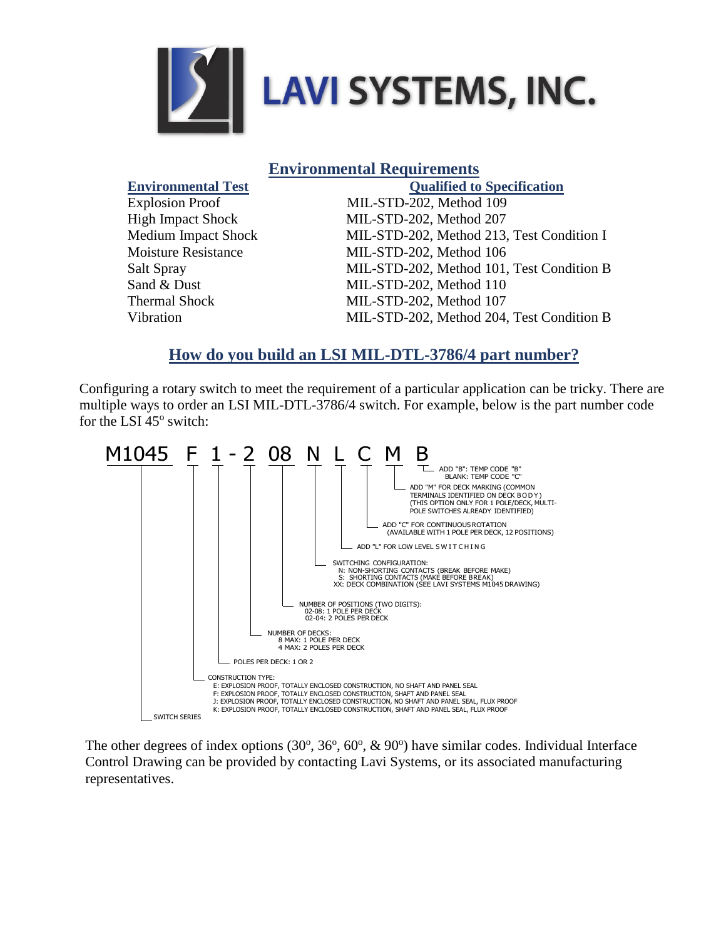

| <b>Environmental Requirements</b> |  |
|-----------------------------------|--|
|-----------------------------------|--|

| <b>Environmental Test</b>  | <b>Qualified to Specification</b>         |
|----------------------------|-------------------------------------------|
| <b>Explosion Proof</b>     | MIL-STD-202, Method 109                   |
| <b>High Impact Shock</b>   | MIL-STD-202, Method 207                   |
| <b>Medium Impact Shock</b> | MIL-STD-202, Method 213, Test Condition I |
| <b>Moisture Resistance</b> | MIL-STD-202, Method 106                   |
| Salt Spray                 | MIL-STD-202, Method 101, Test Condition B |
| Sand & Dust                | MIL-STD-202, Method 110                   |
| <b>Thermal Shock</b>       | MIL-STD-202, Method 107                   |
| Vibration                  | MIL-STD-202, Method 204, Test Condition B |

## **How do you build an LSI MIL-DTL-3786/4 part number?**

Configuring a rotary switch to meet the requirement of a particular application can be tricky. There are multiple ways to order an LSI MIL-DTL-3786/4 switch. For example, below is the part number code for the LSI 45° switch:



The other degrees of index options  $(30^{\circ}, 36^{\circ}, 60^{\circ}, \& 90^{\circ})$  have similar codes. Individual Interface Control Drawing can be provided by contacting Lavi Systems, or its associated manufacturing representatives.